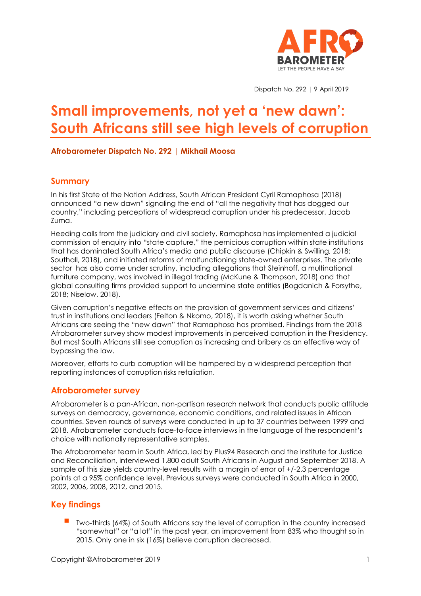

Dispatch No. 292 | 9 April 2019

# **Small improvements, not yet a 'new dawn': South Africans still see high levels of corruption**

#### **Afrobarometer Dispatch No. 292 | Mikhail Moosa**

## **Summary**

In his first State of the Nation Address, South African President Cyril Ramaphosa (2018) announced "a new dawn" signaling the end of "all the negativity that has dogged our country," including perceptions of widespread corruption under his predecessor, Jacob Zuma.

Heeding calls from the judiciary and civil society, Ramaphosa has implemented a judicial commission of enquiry into "state capture," the pernicious corruption within state institutions that has dominated South Africa's media and public discourse (Chipkin & Swilling, 2018; Southall, 2018), and initiated reforms of malfunctioning state-owned enterprises. The private sector has also come under scrutiny, including allegations that Steinhoff, a multinational furniture company, was involved in illegal trading (McKune & Thompson, 2018) and that global consulting firms provided support to undermine state entities (Bogdanich & Forsythe, 2018; Niselow, 2018).

Given corruption's negative effects on the provision of government services and citizens' trust in institutions and leaders (Felton & Nkomo, 2018), it is worth asking whether South Africans are seeing the "new dawn" that Ramaphosa has promised. Findings from the 2018 Afrobarometer survey show modest improvements in perceived corruption in the Presidency. But most South Africans still see corruption as increasing and bribery as an effective way of bypassing the law.

Moreover, efforts to curb corruption will be hampered by a widespread perception that reporting instances of corruption risks retaliation.

## **Afrobarometer survey**

Afrobarometer is a pan-African, non-partisan research network that conducts public attitude surveys on democracy, governance, economic conditions, and related issues in African countries. Seven rounds of surveys were conducted in up to 37 countries between 1999 and 2018. Afrobarometer conducts face-to-face interviews in the language of the respondent's choice with nationally representative samples.

The Afrobarometer team in South Africa, led by Plus94 Research and the Institute for Justice and Reconciliation, interviewed 1,800 adult South Africans in August and September 2018. A sample of this size yields country-level results with a margin of error of +/-2.3 percentage points at a 95% confidence level. Previous surveys were conducted in South Africa in 2000, 2002, 2006, 2008, 2012, and 2015.

## **Key findings**

Two-thirds (64%) of South Africans say the level of corruption in the country increased "somewhat" or "a lot" in the past year, an improvement from 83% who thought so in 2015. Only one in six (16%) believe corruption decreased.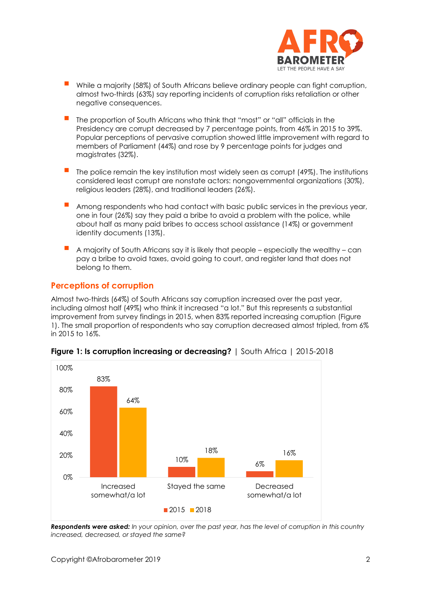

- While a majority (58%) of South Africans believe ordinary people can fight corruption, almost two-thirds (63%) say reporting incidents of corruption risks retaliation or other negative consequences.
- The proportion of South Africans who think that "most" or "all" officials in the Presidency are corrupt decreased by 7 percentage points, from 46% in 2015 to 39%. Popular perceptions of pervasive corruption showed little improvement with regard to members of Parliament (44%) and rose by 9 percentage points for judges and magistrates (32%).
- The police remain the key institution most widely seen as corrupt (49%). The institutions considered least corrupt are nonstate actors: nongovernmental organizations (30%), religious leaders (28%), and traditional leaders (26%).
- Among respondents who had contact with basic public services in the previous year, one in four (26%) say they paid a bribe to avoid a problem with the police, while about half as many paid bribes to access school assistance (14%) or government identity documents (13%).
- A majority of South Africans say it is likely that people especially the wealthy can pay a bribe to avoid taxes, avoid going to court, and register land that does not belong to them.

## **Perceptions of corruption**

Almost two-thirds (64%) of South Africans say corruption increased over the past year, including almost half (49%) who think it increased "a lot." But this represents a substantial improvement from survey findings in 2015, when 83% reported increasing corruption (Figure 1). The small proportion of respondents who say corruption decreased almost tripled, from 6% in 2015 to 16%.



#### **Figure 1: Is corruption increasing or decreasing?** | South Africa | 2015-2018

*Respondents were asked: In your opinion, over the past year, has the level of corruption in this country increased, decreased, or stayed the same?*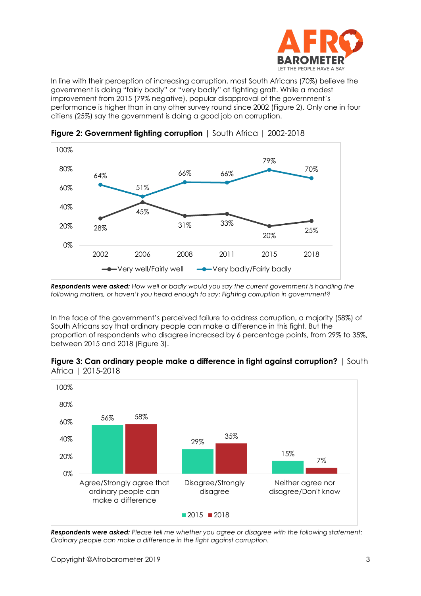

In line with their perception of increasing corruption, most South Africans (70%) believe the government is doing "fairly badly" or "very badly" at fighting graft. While a modest improvement from 2015 (79% negative), popular disapproval of the government's performance is higher than in any other survey round since 2002 (Figure 2). Only one in four citiens (25%) say the government is doing a good job on corruption.



**Figure 2: Government fighting corruption** | South Africa | 2002-2018

*Respondents were asked: How well or badly would you say the current government is handling the following matters, or haven't you heard enough to say: Fighting corruption in government?*

In the face of the government's perceived failure to address corruption, a majority (58%) of South Africans say that ordinary people can make a difference in this fight. But the proportion of respondents who disagree increased by 6 percentage points, from 29% to 35%, between 2015 and 2018 (Figure 3).





*Respondents were asked: Please tell me whether you agree or disagree with the following statement: Ordinary people can make a difference in the fight against corruption.*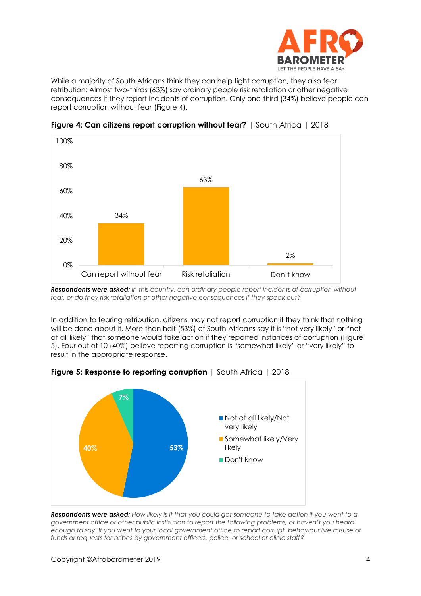

While a majority of South Africans think they can help fight corruption, they also fear retribution: Almost two-thirds (63%) say ordinary people risk retaliation or other negative consequences if they report incidents of corruption. Only one-third (34%) believe people can report corruption without fear (Figure 4).



**Figure 4: Can citizens report corruption without fear?** | South Africa | 2018

*Respondents were asked: In this country, can ordinary people report incidents of corruption without fear, or do they risk retaliation or other negative consequences if they speak out?*

In addition to fearing retribution, citizens may not report corruption if they think that nothing will be done about it. More than half (53%) of South Africans say it is "not very likely" or "not at all likely" that someone would take action if they reported instances of corruption (Figure 5). Four out of 10 (40%) believe reporting corruption is "somewhat likely" or "very likely" to result in the appropriate response.



**Figure 5: Response to reporting corruption** | South Africa | 2018

*Respondents were asked: How likely is it that you could get someone to take action if you went to a government office or other public institution to report the following problems, or haven't you heard enough to say: If you went to your local government office to report corrupt behaviour like misuse of funds or requests for bribes by government officers, police, or school or clinic staff?*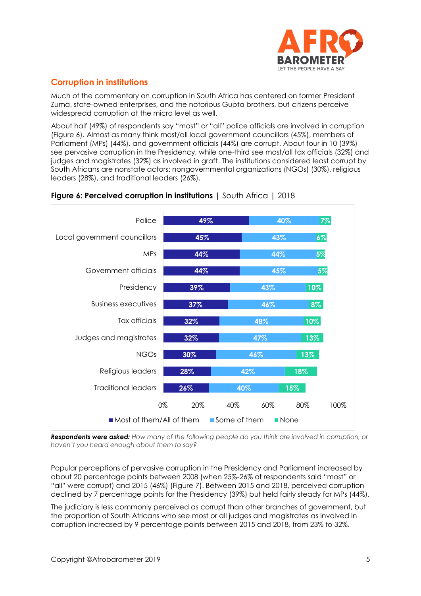

# **Corruption in institutions**

Much of the commentary on corruption in South Africa has centered on former President Zuma, state-owned enterprises, and the notorious Gupta brothers, but citizens perceive widespread corruption at the micro level as well.

About half (49%) of respondents say "most" or "all" police officials are involved in corruption (Figure 6). Almost as many think most/all local government councillors (45%), members of Parliament (MPs) (44%), and government officials (44%) are corrupt. About four in 10 (39%) see pervasive corruption in the Presidency, while one-third see most/all tax officials (32%) and judges and magistrates (32%) as involved in graft. The institutions considered least corrupt by South Africans are nonstate actors: nongovernmental organizations (NGOs) (30%), religious leaders (28%), and traditional leaders (26%).



## **Figure 6: Perceived corruption in institutions** | South Africa | 2018

*Respondents were asked: How many of the following people do you think are involved in corruption, or haven't you heard enough about them to say?*

Popular perceptions of pervasive corruption in the Presidency and Parliament increased by about 20 percentage points between 2008 (when 25%-26% of respondents said "most" or "all" were corrupt) and 2015 (46%) (Figure 7). Between 2015 and 2018, perceived corruption declined by 7 percentage points for the Presidency (39%) but held fairly steady for MPs (44%).

The judiciary is less commonly perceived as corrupt than other branches of government, but the proportion of South Africans who see most or all judges and magistrates as involved in corruption increased by 9 percentage points between 2015 and 2018, from 23% to 32%.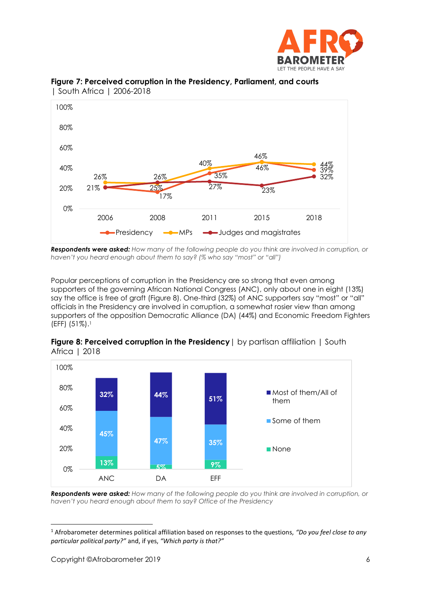



**Figure 7: Perceived corruption in the Presidency, Parliament, and courts**  | South Africa | 2006-2018

*Respondents were asked: How many of the following people do you think are involved in corruption, or haven't you heard enough about them to say? (% who say "most" or "all")*

Popular perceptions of corruption in the Presidency are so strong that even among supporters of the governing African National Congress (ANC), only about one in eight (13%) say the office is free of graft (Figure 8). One-third (32%) of ANC supporters say "most" or "all" officials in the Presidency are involved in corruption, a somewhat rosier view than among supporters of the opposition Democratic Alliance (DA) (44%) and Economic Freedom Fighters (EFF) (51%). 1



**Figure 8: Perceived corruption in the Presidency** | by partisan affiliation | South Africa | 2018

*Respondents were asked: How many of the following people do you think are involved in corruption, or haven't you heard enough about them to say? Office of the Presidency*

<sup>1</sup> Afrobarometer determines political affiliation based on responses to the questions, *"Do you feel close to any particular political party?"* and, if yes, *"Which party is that?"*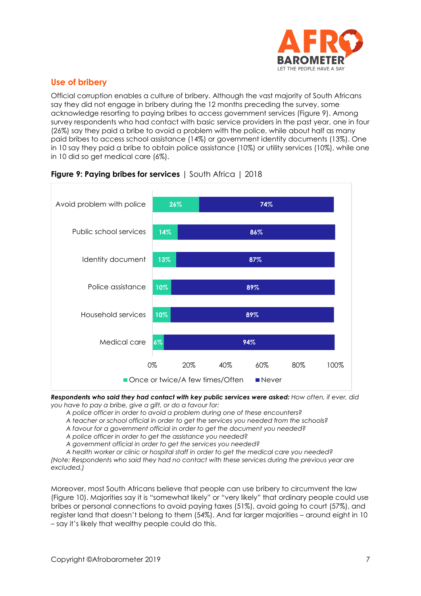

# **Use of bribery**

Official corruption enables a culture of bribery. Although the vast majority of South Africans say they did not engage in bribery during the 12 months preceding the survey, some acknowledge resorting to paying bribes to access government services (Figure 9). Among survey respondents who had contact with basic service providers in the past year, one in four (26%) say they paid a bribe to avoid a problem with the police, while about half as many paid bribes to access school assistance (14%) or government identity documents (13%). One in 10 say they paid a bribe to obtain police assistance (10%) or utility services (10%), while one in 10 did so get medical care (6%).



## **Figure 9: Paying bribes for services** | South Africa | 2018

*Respondents who said they had contact with key public services were asked: How often, if ever, did you have to pay a bribe, give a gift, or do a favour for:* 

*A police officer in order to avoid a problem during one of these encounters?*

*A teacher or school official in order to get the services you needed from the schools?* 

*A favour for a government official in order to get the document you needed?* 

*A police officer in order to get the assistance you needed?*

*A government official in order to get the services you needed?*

*A health worker or clinic or hospital staff in order to get the medical care you needed?* 

*(Note: Respondents who said they had no contact with these services during the previous year are excluded.)*

Moreover, most South Africans believe that people can use bribery to circumvent the law (Figure 10). Majorities say it is "somewhat likely" or "very likely" that ordinary people could use bribes or personal connections to avoid paying taxes (51%), avoid going to court (57%), and register land that doesn't belong to them (54%). And far larger majorities – around eight in 10 – say it's likely that wealthy people could do this.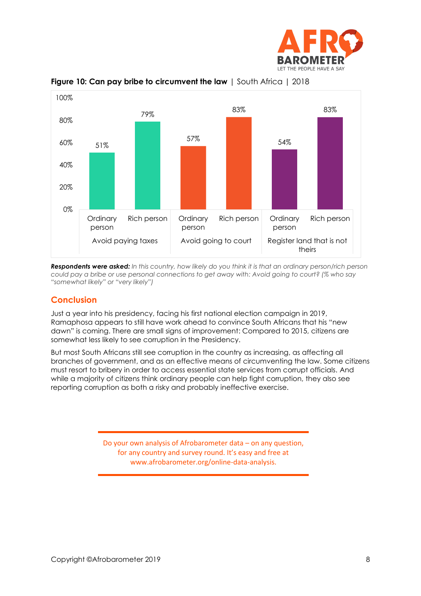





*Respondents were asked: In this country, how likely do you think it is that an ordinary person/rich person could pay a bribe or use personal connections to get away with: Avoid going to court? (% who say "somewhat likely" or "very likely")*

## **Conclusion**

Just a year into his presidency, facing his first national election campaign in 2019, Ramaphosa appears to still have work ahead to convince South Africans that his "new dawn" is coming. There are small signs of improvement: Compared to 2015, citizens are somewhat less likely to see corruption in the Presidency.

But most South Africans still see corruption in the country as increasing, as affecting all branches of government, and as an effective means of circumventing the law. Some citizens must resort to bribery in order to access essential state services from corrupt officials. And while a majority of citizens think ordinary people can help fight corruption, they also see reporting corruption as both a risky and probably ineffective exercise.

> Do your own analysis of Afrobarometer data – on any question, for any country and survey round. It's easy and free at www.afrobarometer.org/online-data-analysis.